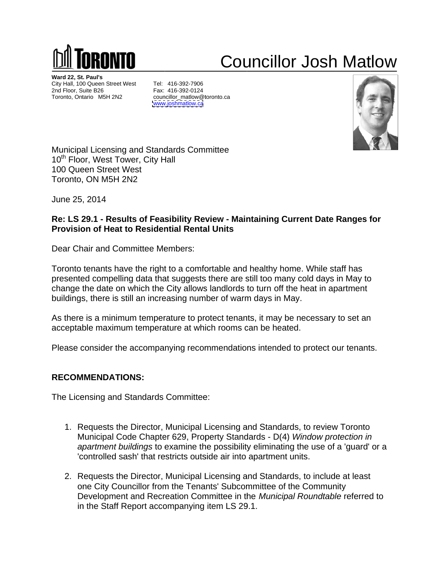

## Councillor Josh Matlow

**Ward 22, St. Paul's** City Hall, 100 Queen Street West Tel: 416-392-7906<br>2nd Floor, Suite B26 Fax: 416-392-0124 2nd Floor, Suite B26 Toronto, Ontario M5H 2N2

 Tel: 416 **Fax: 416-392-0124 Fax: 416-392-0124** councillor\_matlow@toronto.ca [www.joshmatlow.ca](http://www.joshmatlow.ca) **with the contract of the contract of the contract of the contract of the contract of the contract of the contract of the contract of the contract of the contract of the contract of the contract of the co** 416-392-0124



Municipal Licensing and Standards Committee **Committee** and Standards Committee and Standards and Standards Committee 10<sup>th</sup> Floor, West Tower, City Hall 100 Queen Street West Toronto, ON M5H 2N2

June 25, ,2014

## Re: LS 29.1 - Results of Feasibility Review - Maintaining Current Date Ranges for **Provision of Heat to Residential Rental Units**

Dear Chair and Committee Members:

Toronto tenants have the right to a comfortable and healthy home. presented compelling data that suggests there are still too many cold days in May to change the date on which the City allows landlords to turn off the heat in apartment buildings, there is still an increasing number of warm days in May. ants have the right to a comfortable and healthy home. While staff has<br>ompelling data that suggests there are still too many cold days in May to<br>date on which the City allows landlords to turn off the heat in apartment in apartment ays in May to<br>n apartment<br>sary to set an<br>ect our tenants.<br>view Toronto

As there is a minimum temperature to protect tenants, it may be necessary to set an acceptable maximum temperature at which rooms can be heated. ll an increasing number of warm d<br>m temperature to protect tenants,<br>n temperature at which rooms can<br>accompanying recommendations it may be necessary to set an it may be necessary to set an<br>be heated.<br>Intended to protect our tenants.<br>Standards, to review Toronto

Please consider the accompanying recommendations intended to protect our tenants.

## **RECOMMENDATION RECOMMENDATIONS:**

The Licensing and Standards Committee:

- 1. Requests the Director, Municipal Licensing and Standards, to review Toronto Municipal Code Chapter 629, Property Standards - D(4) Window protection in apartment buildings to examine the possibility eliminating the use of a 'guard' or a 'controlled sash' that restricts outside air into apartment units. and Standards Committee:<br>ts the Director, Municipal Licensing and St<br>al Code Chapter 629, Property Standards The Sale Toward Committee<br>
The Sale Toward<br>
Income<br>
Income<br>
Income<br>
Income<br>
Income<br>
Income<br>
Income<br>
Income<br>
Income<br>
Income Subcommittee and stail thormary cold days in May to<br>
Income Subcommittee to the 416-116 manufold da Municipal Licensing and Standards can be heated.<br>Dons intended to protect our tenants.<br>And Standards, to review Toronto<br>dards - D(4) *Window protection in* nd healthy home. While staff has<br>e still too many cold days in May to<br>ls to turn off the heat in apartment<br>arm days in May.<br>ants, it may be necessary to set an<br>s can be heated.<br>tions intended to protect our tenants.<br>pass i
- 2. Requests the Director, Municipal Licensing and Standards, to include at least one City Councillor from the Tenants' Subcommittee of the Community Development and Recreation Committee in the Municipal Roundtable referred to in the Staff Report accompanying cipal Licensing and Standards, to review Toronto<br>
9, Property Standards - D(4) *Window protection in*<br>
inne the possibility eliminating the use of a 'guard' or a<br>
s outside air into apartment units.<br>
cipal Licensing and St referred to